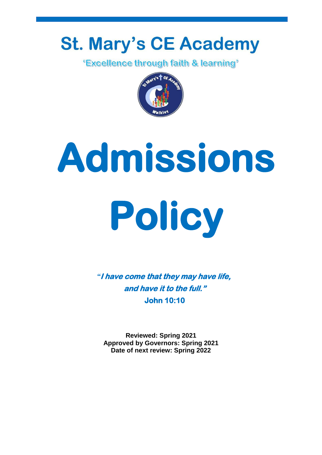# **St. Mary's CE Academy**<br>**Excellence through faith & learning**<sup>\*</sup>



# **Admissions Policy**

*"***I have come that they may have life, and have it to the full." John 10:10** 

**Reviewed: Spring 2021 Approved by Governors: Spring 2021 Date of next review: Spring 2022**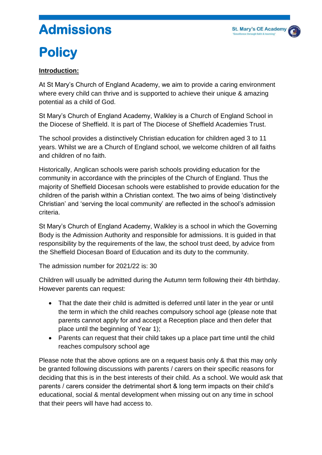## **Admissions**

### **Policy**

#### **Introduction:**

At St Mary's Church of England Academy, we aim to provide a caring environment where every child can thrive and is supported to achieve their unique & amazing potential as a child of God.

St Mary's Church of England Academy, Walkley is a Church of England School in the Diocese of Sheffield. It is part of The Diocese of Sheffield Academies Trust.

The school provides a distinctively Christian education for children aged 3 to 11 years. Whilst we are a Church of England school, we welcome children of all faiths and children of no faith.

Historically, Anglican schools were parish schools providing education for the community in accordance with the principles of the Church of England. Thus the majority of Sheffield Diocesan schools were established to provide education for the children of the parish within a Christian context. The two aims of being 'distinctively Christian' and 'serving the local community' are reflected in the school's admission criteria.

St Mary's Church of England Academy, Walkley is a school in which the Governing Body is the Admission Authority and responsible for admissions. It is guided in that responsibility by the requirements of the law, the school trust deed, by advice from the Sheffield Diocesan Board of Education and its duty to the community.

The admission number for 2021/22 is: 30

Children will usually be admitted during the Autumn term following their 4th birthday. However parents can request:

- That the date their child is admitted is deferred until later in the year or until the term in which the child reaches compulsory school age (please note that parents cannot apply for and accept a Reception place and then defer that place until the beginning of Year 1);
- Parents can request that their child takes up a place part time until the child reaches compulsory school age

Please note that the above options are on a request basis only & that this may only be granted following discussions with parents / carers on their specific reasons for deciding that this is in the best interests of their child. As a school. We would ask that parents / carers consider the detrimental short & long term impacts on their child's educational, social & mental development when missing out on any time in school that their peers will have had access to.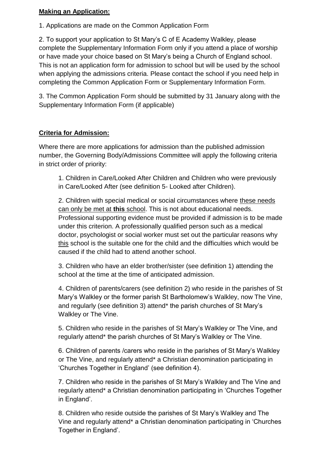#### **Making an Application:**

1. Applications are made on the Common Application Form

2. To support your application to St Mary's C of E Academy Walkley, please complete the Supplementary Information Form only if you attend a place of worship or have made your choice based on St Mary's being a Church of England school. This is not an application form for admission to school but will be used by the school when applying the admissions criteria. Please contact the school if you need help in completing the Common Application Form or Supplementary Information Form.

3. The Common Application Form should be submitted by 31 January along with the Supplementary Information Form (if applicable)

#### **Criteria for Admission:**

Where there are more applications for admission than the published admission number, the Governing Body/Admissions Committee will apply the following criteria in strict order of priority:

1. Children in Care/Looked After Children and Children who were previously in Care/Looked After (see definition 5- Looked after Children).

2. Children with special medical or social circumstances where these needs can only be met at **this** school. This is not about educational needs. Professional supporting evidence must be provided if admission is to be made under this criterion. A professionally qualified person such as a medical doctor, psychologist or social worker must set out the particular reasons why this school is the suitable one for the child and the difficulties which would be caused if the child had to attend another school.

3. Children who have an elder brother/sister (see definition 1) attending the school at the time at the time of anticipated admission.

4. Children of parents/carers (see definition 2) who reside in the parishes of St Mary's Walkley or the former parish St Bartholomew's Walkley, now The Vine, and regularly (see definition 3) attend\* the parish churches of St Mary's Walkley or The Vine.

5. Children who reside in the parishes of St Mary's Walkley or The Vine, and regularly attend\* the parish churches of St Mary's Walkley or The Vine.

6. Children of parents /carers who reside in the parishes of St Mary's Walkley or The Vine, and regularly attend\* a Christian denomination participating in 'Churches Together in England' (see definition 4).

7. Children who reside in the parishes of St Mary's Walkley and The Vine and regularly attend\* a Christian denomination participating in 'Churches Together in England'.

8. Children who reside outside the parishes of St Mary's Walkley and The Vine and regularly attend\* a Christian denomination participating in 'Churches Together in England'.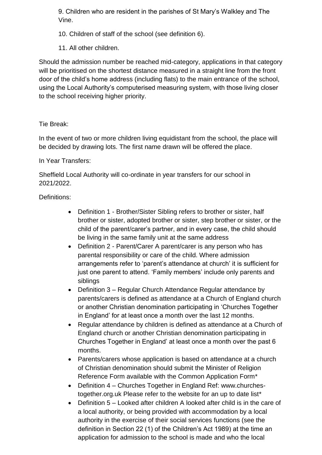9. Children who are resident in the parishes of St Mary's Walkley and The Vine.

- 10. Children of staff of the school (see definition 6).
- 11. All other children.

Should the admission number be reached mid-category, applications in that category will be prioritised on the shortest distance measured in a straight line from the front door of the child's home address (including flats) to the main entrance of the school, using the Local Authority's computerised measuring system, with those living closer to the school receiving higher priority.

#### Tie Break:

In the event of two or more children living equidistant from the school, the place will be decided by drawing lots. The first name drawn will be offered the place.

#### In Year Transfers:

Sheffield Local Authority will co-ordinate in year transfers for our school in 2021/2022.

#### Definitions:

- Definition 1 Brother/Sister Sibling refers to brother or sister, half brother or sister, adopted brother or sister, step brother or sister, or the child of the parent/carer's partner, and in every case, the child should be living in the same family unit at the same address
- Definition 2 Parent/Carer A parent/carer is any person who has parental responsibility or care of the child. Where admission arrangements refer to 'parent's attendance at church' it is sufficient for just one parent to attend. 'Family members' include only parents and siblings
- Definition 3 Regular Church Attendance Regular attendance by parents/carers is defined as attendance at a Church of England church or another Christian denomination participating in 'Churches Together in England' for at least once a month over the last 12 months.
- Regular attendance by children is defined as attendance at a Church of England church or another Christian denomination participating in Churches Together in England' at least once a month over the past 6 months.
- Parents/carers whose application is based on attendance at a church of Christian denomination should submit the Minister of Religion Reference Form available with the Common Application Form\*
- Definition 4 Churches Together in England Ref: www.churchestogether.org.uk Please refer to the website for an up to date list\*
- Definition 5 Looked after children A looked after child is in the care of a local authority, or being provided with accommodation by a local authority in the exercise of their social services functions (see the definition in Section 22 (1) of the Children's Act 1989) at the time an application for admission to the school is made and who the local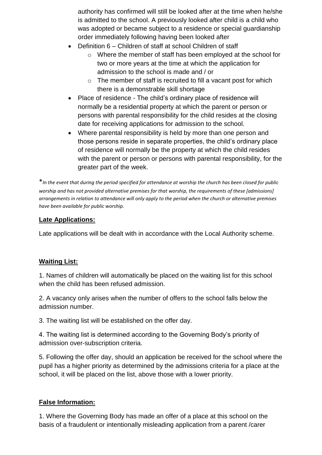authority has confirmed will still be looked after at the time when he/she is admitted to the school. A previously looked after child is a child who was adopted or became subject to a residence or special guardianship order immediately following having been looked after

- Definition 6 Children of staff at school Children of staff
	- o Where the member of staff has been employed at the school for two or more years at the time at which the application for admission to the school is made and / or
	- $\circ$  The member of staff is recruited to fill a vacant post for which there is a demonstrable skill shortage
- Place of residence The child's ordinary place of residence will normally be a residential property at which the parent or person or persons with parental responsibility for the child resides at the closing date for receiving applications for admission to the school.
- Where parental responsibility is held by more than one person and those persons reside in separate properties, the child's ordinary place of residence will normally be the property at which the child resides with the parent or person or persons with parental responsibility, for the greater part of the week.

\**In the event that during the period specified for attendance at worship the church has been closed for public worship and has not provided alternative premises for that worship, the requirements of these [admissions] arrangements in relation to attendance will only apply to the period when the church or alternative premises have been available for public worship.*

#### **Late Applications:**

Late applications will be dealt with in accordance with the Local Authority scheme.

#### **Waiting List:**

1. Names of children will automatically be placed on the waiting list for this school when the child has been refused admission.

2. A vacancy only arises when the number of offers to the school falls below the admission number.

3. The waiting list will be established on the offer day.

4. The waiting list is determined according to the Governing Body's priority of admission over-subscription criteria.

5. Following the offer day, should an application be received for the school where the pupil has a higher priority as determined by the admissions criteria for a place at the school, it will be placed on the list, above those with a lower priority.

#### **False Information:**

1. Where the Governing Body has made an offer of a place at this school on the basis of a fraudulent or intentionally misleading application from a parent /carer